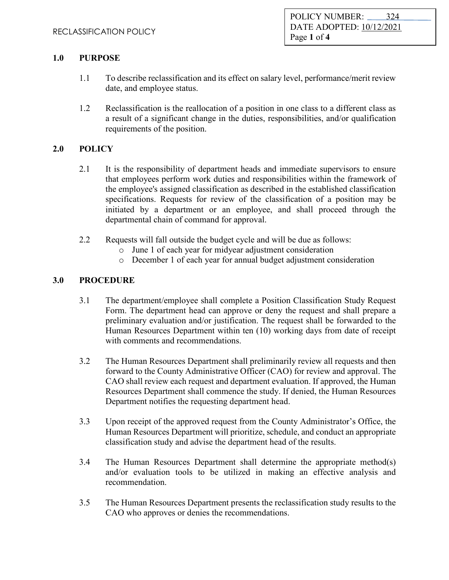## **1.0 PURPOSE**

- 1.1 To describe reclassification and its effect on salary level, performance/merit review date, and employee status.
- 1.2 Reclassification is the reallocation of a position in one class to a different class as a result of a significant change in the duties, responsibilities, and/or qualification requirements of the position.

## **2.0 POLICY**

- 2.1 It is the responsibility of department heads and immediate supervisors to ensure that employees perform work duties and responsibilities within the framework of the employee's assigned classification as described in the established classification specifications. Requests for review of the classification of a position may be initiated by a department or an employee, and shall proceed through the departmental chain of command for approval.
- 2.2 Requests will fall outside the budget cycle and will be due as follows:
	- o June 1 of each year for midyear adjustment consideration
	- o December 1 of each year for annual budget adjustment consideration

## **3.0 PROCEDURE**

- 3.1 The department/employee shall complete a Position Classification Study Request Form. The department head can approve or deny the request and shall prepare a preliminary evaluation and/or justification. The request shall be forwarded to the Human Resources Department within ten (10) working days from date of receipt with comments and recommendations.
- 3.2 The Human Resources Department shall preliminarily review all requests and then forward to the County Administrative Officer (CAO) for review and approval. The CAO shall review each request and department evaluation. If approved, the Human Resources Department shall commence the study. If denied, the Human Resources Department notifies the requesting department head.
- 3.3 Upon receipt of the approved request from the County Administrator's Office, the Human Resources Department will prioritize, schedule, and conduct an appropriate classification study and advise the department head of the results.
- 3.4 The Human Resources Department shall determine the appropriate method(s) and/or evaluation tools to be utilized in making an effective analysis and recommendation.
- 3.5 The Human Resources Department presents the reclassification study results to the CAO who approves or denies the recommendations.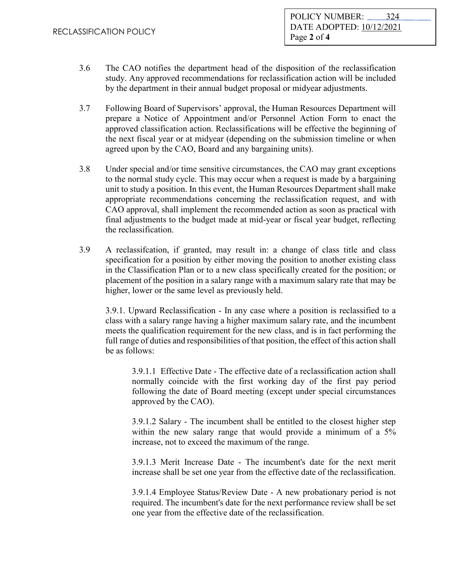- 3.6 The CAO notifies the department head of the disposition of the reclassification study. Any approved recommendations for reclassification action will be included by the department in their annual budget proposal or midyear adjustments.
- 3.7 Following Board of Supervisors' approval, the Human Resources Department will prepare a Notice of Appointment and/or Personnel Action Form to enact the approved classification action. Reclassifications will be effective the beginning of the next fiscal year or at midyear (depending on the submission timeline or when agreed upon by the CAO, Board and any bargaining units).
- 3.8 Under special and/or time sensitive circumstances, the CAO may grant exceptions to the normal study cycle. This may occur when a request is made by a bargaining unit to study a position. In this event, the Human Resources Department shall make appropriate recommendations concerning the reclassification request, and with CAO approval, shall implement the recommended action as soon as practical with final adjustments to the budget made at mid-year or fiscal year budget, reflecting the reclassification.
- 3.9 A reclassifcation, if granted, may result in: a change of class title and class specification for a position by either moving the position to another existing class in the Classification Plan or to a new class specifically created for the position; or placement of the position in a salary range with a maximum salary rate that may be higher, lower or the same level as previously held.

3.9.1. Upward Reclassification - In any case where a position is reclassified to a class with a salary range having a higher maximum salary rate, and the incumbent meets the qualification requirement for the new class, and is in fact performing the full range of duties and responsibilities of that position, the effect of this action shall be as follows:

3.9.1.1 Effective Date - The effective date of a reclassification action shall normally coincide with the first working day of the first pay period following the date of Board meeting (except under special circumstances approved by the CAO).

3.9.1.2 Salary - The incumbent shall be entitled to the closest higher step within the new salary range that would provide a minimum of a 5% increase, not to exceed the maximum of the range.

3.9.1.3 Merit Increase Date - The incumbent's date for the next merit increase shall be set one year from the effective date of the reclassification.

3.9.1.4 Employee Status/Review Date - A new probationary period is not required. The incumbent's date for the next performance review shall be set one year from the effective date of the reclassification.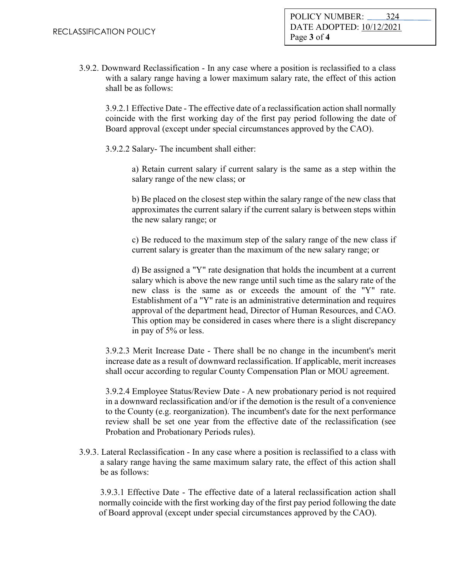3.9.2. Downward Reclassification - In any case where a position is reclassified to a class with a salary range having a lower maximum salary rate, the effect of this action shall be as follows:

3.9.2.1 Effective Date - The effective date of a reclassification action shall normally coincide with the first working day of the first pay period following the date of Board approval (except under special circumstances approved by the CAO).

3.9.2.2 Salary- The incumbent shall either:

a) Retain current salary if current salary is the same as a step within the salary range of the new class; or

b) Be placed on the closest step within the salary range of the new class that approximates the current salary if the current salary is between steps within the new salary range; or

c) Be reduced to the maximum step of the salary range of the new class if current salary is greater than the maximum of the new salary range; or

d) Be assigned a "Y" rate designation that holds the incumbent at a current salary which is above the new range until such time as the salary rate of the new class is the same as or exceeds the amount of the "Y" rate. Establishment of a "Y" rate is an administrative determination and requires approval of the department head, Director of Human Resources, and CAO. This option may be considered in cases where there is a slight discrepancy in pay of 5% or less.

3.9.2.3 Merit Increase Date - There shall be no change in the incumbent's merit increase date as a result of downward reclassification. If applicable, merit increases shall occur according to regular County Compensation Plan or MOU agreement.

3.9.2.4 Employee Status/Review Date - A new probationary period is not required in a downward reclassification and/or if the demotion is the result of a convenience to the County (e.g. reorganization). The incumbent's date for the next performance review shall be set one year from the effective date of the reclassification (see Probation and Probationary Periods rules).

3.9.3. Lateral Reclassification - In any case where a position is reclassified to a class with a salary range having the same maximum salary rate, the effect of this action shall be as follows:

3.9.3.1 Effective Date - The effective date of a lateral reclassification action shall normally coincide with the first working day of the first pay period following the date of Board approval (except under special circumstances approved by the CAO).